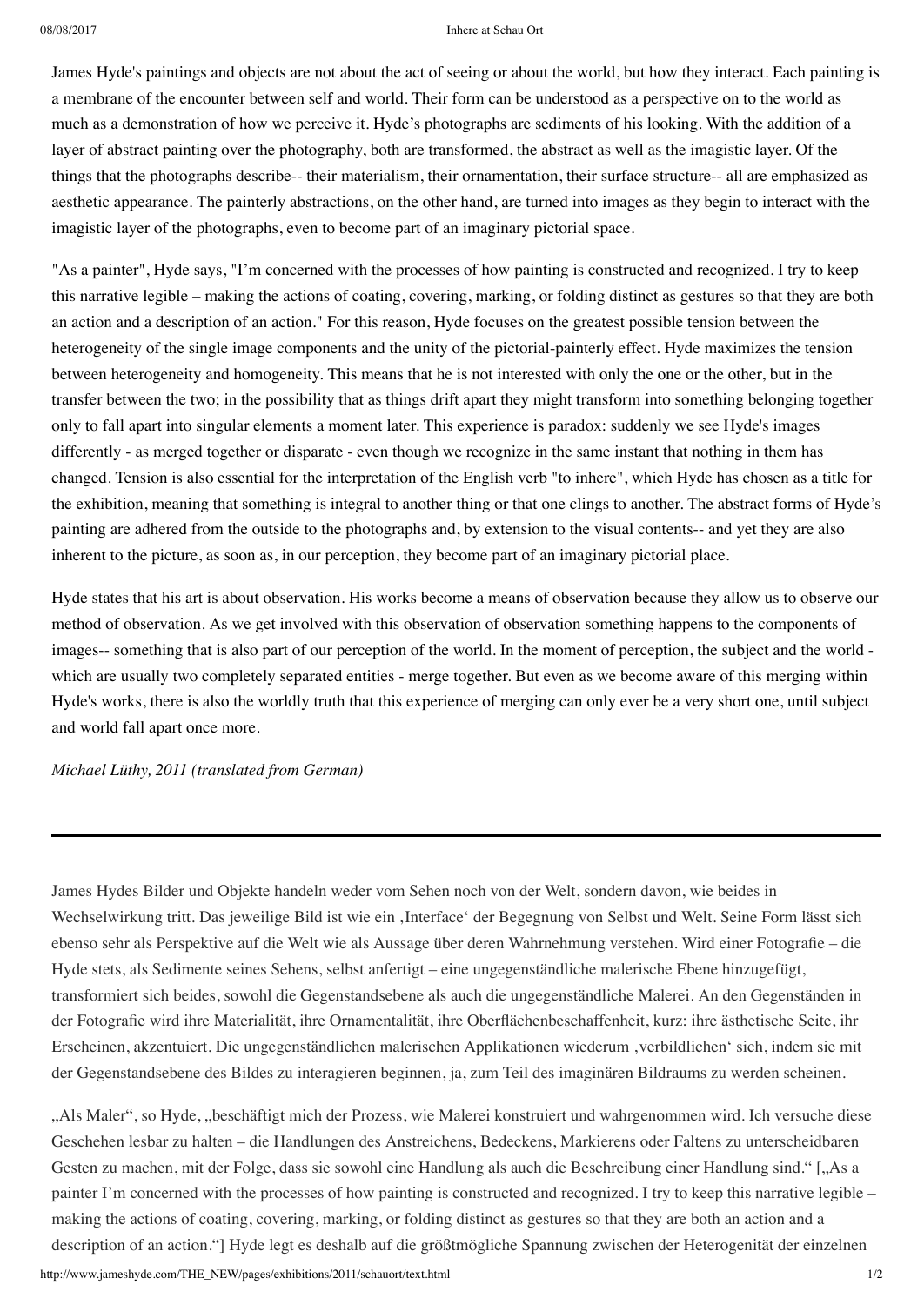## 08/08/2017 Inhere at Schau Ort

James Hyde's paintings and objects are not about the act of seeing or about the world, but how they interact. Each painting is a membrane of the encounter between self and world. Their form can be understood as a perspective on to the world as much as a demonstration of how we perceive it. Hyde's photographs are sediments of his looking. With the addition of a layer of abstract painting over the photography, both are transformed, the abstract as well as the imagistic layer. Of the things that the photographs describe-- their materialism, their ornamentation, their surface structure-- all are emphasized as aesthetic appearance. The painterly abstractions, on the other hand, are turned into images as they begin to interact with the imagistic layer of the photographs, even to become part of an imaginary pictorial space.

"As a painter", Hyde says, "I'm concerned with the processes of how painting is constructed and recognized. I try to keep this narrative legible – making the actions of coating, covering, marking, or folding distinct as gestures so that they are both an action and a description of an action." For this reason, Hyde focuses on the greatest possible tension between the heterogeneity of the single image components and the unity of the pictorial-painterly effect. Hyde maximizes the tension between heterogeneity and homogeneity. This means that he is not interested with only the one or the other, but in the transfer between the two; in the possibility that as things drift apart they might transform into something belonging together only to fall apart into singular elements a moment later. This experience is paradox: suddenly we see Hyde's images differently - as merged together or disparate - even though we recognize in the same instant that nothing in them has changed. Tension is also essential for the interpretation of the English verb "to inhere", which Hyde has chosen as a title for the exhibition, meaning that something is integral to another thing or that one clings to another. The abstract forms of Hyde's painting are adhered from the outside to the photographs and, by extension to the visual contents-- and yet they are also inherent to the picture, as soon as, in our perception, they become part of an imaginary pictorial place.

Hyde states that his art is about observation. His works become a means of observation because they allow us to observe our method of observation. As we get involved with this observation of observation something happens to the components of images-- something that is also part of our perception of the world. In the moment of perception, the subject and the world which are usually two completely separated entities - merge together. But even as we become aware of this merging within Hyde's works, there is also the worldly truth that this experience of merging can only ever be a very short one, until subject and world fall apart once more.

*Michael Lüthy, 2011 (translated from German)*

James Hydes Bilder und Objekte handeln weder vom Sehen noch von der Welt, sondern davon, wie beides in Wechselwirkung tritt. Das jeweilige Bild ist wie ein 'Interface' der Begegnung von Selbst und Welt. Seine Form lässt sich ebenso sehr als Perspektive auf die Welt wie als Aussage über deren Wahrnehmung verstehen. Wird einer Fotografie – die Hyde stets, als Sedimente seines Sehens, selbst anfertigt – eine ungegenständliche malerische Ebene hinzugefügt, transformiert sich beides, sowohl die Gegenstandsebene als auch die ungegenständliche Malerei. An den Gegenständen in der Fotografie wird ihre Materialität, ihre Ornamentalität, ihre Oberflächenbeschaffenheit, kurz: ihre ästhetische Seite, ihr Erscheinen, akzentuiert. Die ungegenständlichen malerischen Applikationen wiederum 'verbildlichen' sich, indem sie mit der Gegenstandsebene des Bildes zu interagieren beginnen, ja, zum Teil des imaginären Bildraums zu werden scheinen.

"Als Maler", so Hyde, "beschäftigt mich der Prozess, wie Malerei konstruiert und wahrgenommen wird. Ich versuche diese Geschehen lesbar zu halten – die Handlungen des Anstreichens, Bedeckens, Markierens oder Faltens zu unterscheidbaren Gesten zu machen, mit der Folge, dass sie sowohl eine Handlung als auch die Beschreibung einer Handlung sind." ["As a painter I'm concerned with the processes of how painting is constructed and recognized. I try to keep this narrative legible – making the actions of coating, covering, marking, or folding distinct as gestures so that they are both an action and a description of an action."] Hyde legt es deshalb auf die größtmögliche Spannung zwischen der Heterogenität der einzelnen